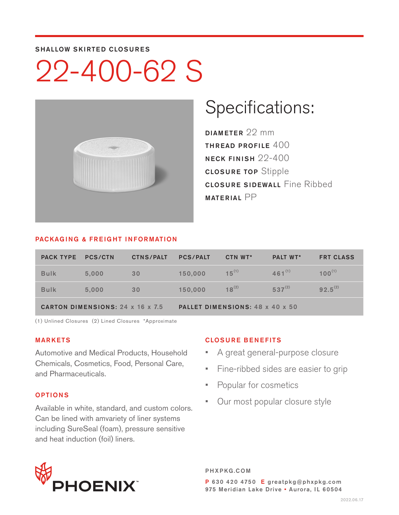#### SHALLOW SKIRTED CLOSURES

# 22-400-62 S



## Specifications:

DIAMETER 22 mm THREAD PROFILE 400 NECK FINISH 22-400 CLOSURE TOP Stipple **CLOSURE SIDEWALL Fine Ribbed** MATERIAL PP

#### PACKAGING & FREIGHT INFORMATION

| <b>PACK TYPE</b>                        | <b>PCS/CTN</b> | <b>CTNS/PALT</b> | <b>PCS/PALT</b>                 | CTN WT*    | <b>PALT WT*</b> | <b>FRT CLASS</b> |  |  |
|-----------------------------------------|----------------|------------------|---------------------------------|------------|-----------------|------------------|--|--|
| <b>Bulk</b>                             | 5,000          | 30               | 150,000                         | $15^{(1)}$ | $461^{(1)}$     | $100^{(1)}$      |  |  |
| <b>Bulk</b>                             | 5.000          | 30               | 150,000                         | $18^{(2)}$ | $537^{(2)}$     | $92.5^{(2)}$     |  |  |
| <b>CARTON DIMENSIONS: 24 x 16 x 7.5</b> |                |                  | PALLET DIMENSIONS: 48 x 40 x 50 |            |                 |                  |  |  |

(1) Unlined Closures (2) Lined Closures \*Approximate

#### MARKETS

Automotive and Medical Products, Household Chemicals, Cosmetics, Food, Personal Care, and Pharmaceuticals.

### OPTIONS

Available in white, standard, and custom colors. Can be lined with amvariety of liner systems including SureSeal (foam), pressure sensitive and heat induction (foil) liners.

### CLOSURE BENEFITS

- A great general-purpose closure
- Fine-ribbed sides are easier to grip
- Popular for cosmetics
- Our most popular closure style



PHXPKG.COM P 630 420 4750 E greatpkg@phxpkg.com 975 Meridian Lake Drive · Aurora, IL 60504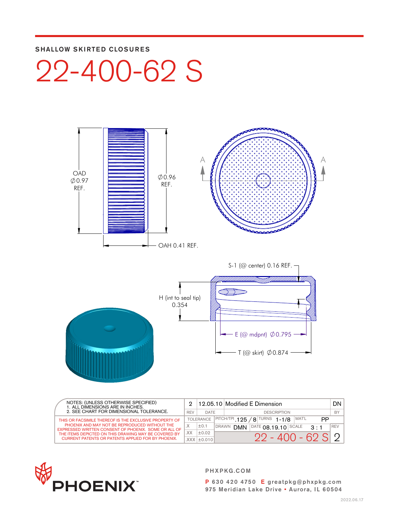### SHALLOW SKIRTED CLOSURES





| NOTES: (UNLESS OTHERWISE SPECIFIED)<br>1. ALL DIMENSIONS ARE IN INCHES.<br>2. SEE CHART FOR DIMENSIONAL TOLERANCE. |              |                                                                                      | $12.05.10$ Modified E Dimension |                                                      | DN.        |  |
|--------------------------------------------------------------------------------------------------------------------|--------------|--------------------------------------------------------------------------------------|---------------------------------|------------------------------------------------------|------------|--|
|                                                                                                                    |              | DATE                                                                                 | <b>DESCRIPTION</b>              |                                                      |            |  |
| THIS OR FACSIMILE THEREOF IS THE EXCLUSIVE PROPERTY OF                                                             |              | $'8$ <sup>TURNS</sup> 1-1/8<br>MAT'L<br>$ $ PITCH/TPI <b>125</b><br><b>TOLERANCE</b> |                                 | PP                                                   |            |  |
| PHOENIX AND MAY NOT BE REPRODUCED WITHOUT THE<br>EXPRESSED WRITTEN CONSENT OF PHOENIX. SOME OR ALL OF              | $\checkmark$ | ±0.1                                                                                 | <b>DRAWN</b>                    | $DATE$ $0R$ 19 10 SCALE<br><b>DMN</b><br>$2 \cdot 1$ | <b>REV</b> |  |
| THE ITEMS DEPICTED ON THIS DRAWING MAY BE COVERED BY                                                               | XX.          | ±0.02                                                                                |                                 |                                                      |            |  |
| <b>CURRENT PATENTS OR PATENTS APPLIED FOR BY PHOENIX.</b>                                                          |              | $XXX$ $\pm$ 0.010                                                                    |                                 | $22 - 400 - 62S$                                     |            |  |



PHXPKG.COM

P 630 420 4750 E greatpkg@phxpkg.com 975 Meridian Lake Drive • Aurora, IL 60504